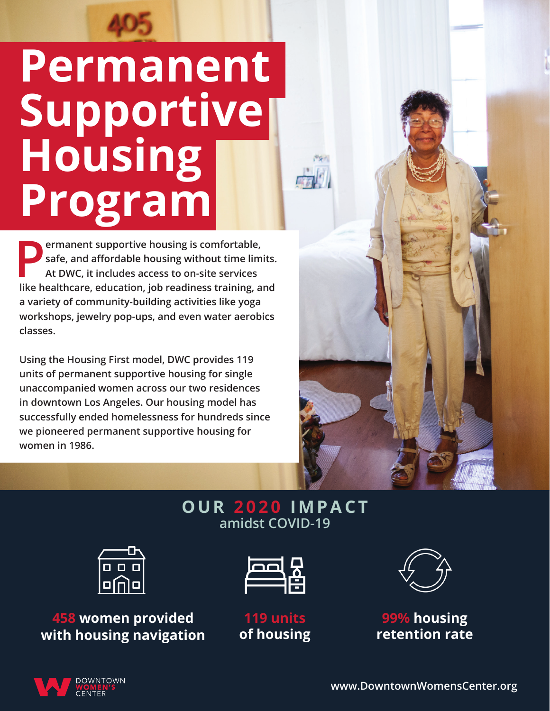# **Permanent Supportive Housing Program**

**Permanent supportive housing is comfortable,**<br>safe, and affordable housing without time lim<br>At DWC, it includes access to on-site services **safe, and affordable housing without time limits. At DWC, it includes access to on-site services like healthcare, education, job readiness training, and a variety of community-building activities like yoga workshops, jewelry pop-ups, and even water aerobics classes.**

**Using the Housing First model, DWC provides 119 units of permanent supportive housing for single unaccompanied women across our two residences in downtown Los Angeles. Our housing model has successfully ended homelessness for hundreds since we pioneered permanent supportive housing for women in 1986.**



### **OUR 2020 IMPACT amidst COVID-19**



**458 women provided with housing navigation**







**99% housing retention rate**